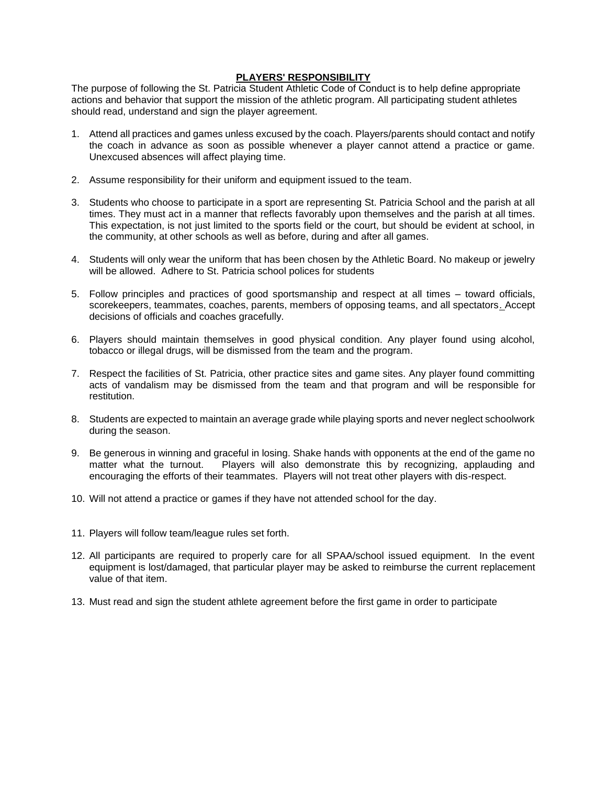## **PLAYERS' RESPONSIBILITY**

The purpose of following the St. Patricia Student Athletic Code of Conduct is to help define appropriate actions and behavior that support the mission of the athletic program. All participating student athletes should read, understand and sign the player agreement.

- 1. Attend all practices and games unless excused by the coach. Players/parents should contact and notify the coach in advance as soon as possible whenever a player cannot attend a practice or game. Unexcused absences will affect playing time.
- 2. Assume responsibility for their uniform and equipment issued to the team.
- 3. Students who choose to participate in a sport are representing St. Patricia School and the parish at all times. They must act in a manner that reflects favorably upon themselves and the parish at all times. This expectation, is not just limited to the sports field or the court, but should be evident at school, in the community, at other schools as well as before, during and after all games.
- 4. Students will only wear the uniform that has been chosen by the Athletic Board. No makeup or jewelry will be allowed. Adhere to St. Patricia school polices for students
- 5. Follow principles and practices of good sportsmanship and respect at all times toward officials, scorekeepers, teammates, coaches, parents, members of opposing teams, and all spectators. Accept decisions of officials and coaches gracefully.
- 6. Players should maintain themselves in good physical condition. Any player found using alcohol, tobacco or illegal drugs, will be dismissed from the team and the program.
- 7. Respect the facilities of St. Patricia, other practice sites and game sites. Any player found committing acts of vandalism may be dismissed from the team and that program and will be responsible for restitution.
- 8. Students are expected to maintain an average grade while playing sports and never neglect schoolwork during the season.
- 9. Be generous in winning and graceful in losing. Shake hands with opponents at the end of the game no matter what the turnout. Players will also demonstrate this by recognizing, applauding and encouraging the efforts of their teammates. Players will not treat other players with dis-respect.
- 10. Will not attend a practice or games if they have not attended school for the day.
- 11. Players will follow team/league rules set forth.
- 12. All participants are required to properly care for all SPAA/school issued equipment. In the event equipment is lost/damaged, that particular player may be asked to reimburse the current replacement value of that item.
- 13. Must read and sign the student athlete agreement before the first game in order to participate